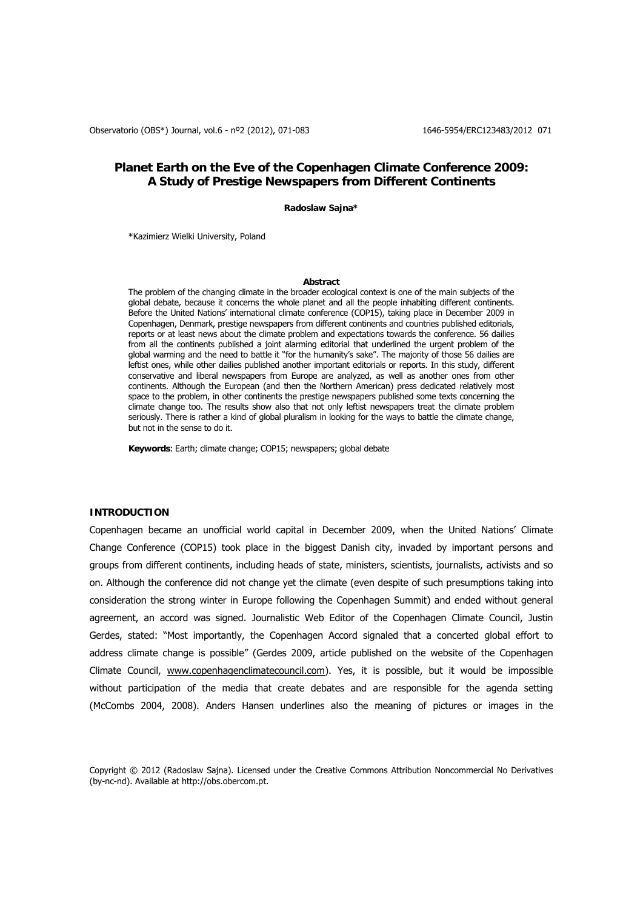# **Planet Earth on the Eve of the Copenhagen Climate Conference 2009: A Study of Prestige Newspapers from Different Continents**

**Radoslaw Sajna\*** 

\*Kazimierz Wielki University, Poland

### **Abstract**

The problem of the changing climate in the broader ecological context is one of the main subjects of the global debate, because it concerns the whole planet and all the people inhabiting different continents. Before the United Nations' international climate conference (COP15), taking place in December 2009 in Copenhagen, Denmark, prestige newspapers from different continents and countries published editorials, reports or at least news about the climate problem and expectations towards the conference. 56 dailies from all the continents published a joint alarming editorial that underlined the urgent problem of the global warming and the need to battle it "for the humanity's sake". The majority of those 56 dailies are leftist ones, while other dailies published another important editorials or reports. In this study, different conservative and liberal newspapers from Europe are analyzed, as well as another ones from other continents. Although the European (and then the Northern American) press dedicated relatively most space to the problem, in other continents the prestige newspapers published some texts concerning the climate change too. The results show also that not only leftist newspapers treat the climate problem seriously. There is rather a kind of global pluralism in looking for the ways to battle the climate change, but not in the sense to do it.

**Keywords**: Earth; climate change; COP15; newspapers; global debate

## **INTRODUCTION**

Copenhagen became an unofficial world capital in December 2009, when the United Nations' Climate Change Conference (COP15) took place in the biggest Danish city, invaded by important persons and groups from different continents, including heads of state, ministers, scientists, journalists, activists and so on. Although the conference did not change yet the climate (even despite of such presumptions taking into consideration the strong winter in Europe following the Copenhagen Summit) and ended without general agreement, an accord was signed. Journalistic Web Editor of the Copenhagen Climate Council, Justin Gerdes, stated: "Most importantly, the Copenhagen Accord signaled that a concerted global effort to address climate change is possible" (Gerdes 2009, article published on the website of the Copenhagen Climate Council, [www.copenhagenclimatecouncil.com\)](http://www.copenhagenclimatecouncil.com/). Yes, it is possible, but it would be impossible without participation of the media that create debates and are responsible for the agenda setting (McCombs 2004, 2008). Anders Hansen underlines also the meaning of pictures or images in the

Copyright © 2012 (Radoslaw Sajna). Licensed under the Creative Commons Attribution Noncommercial No Derivatives (by-nc-nd). Available at http://obs.obercom.pt.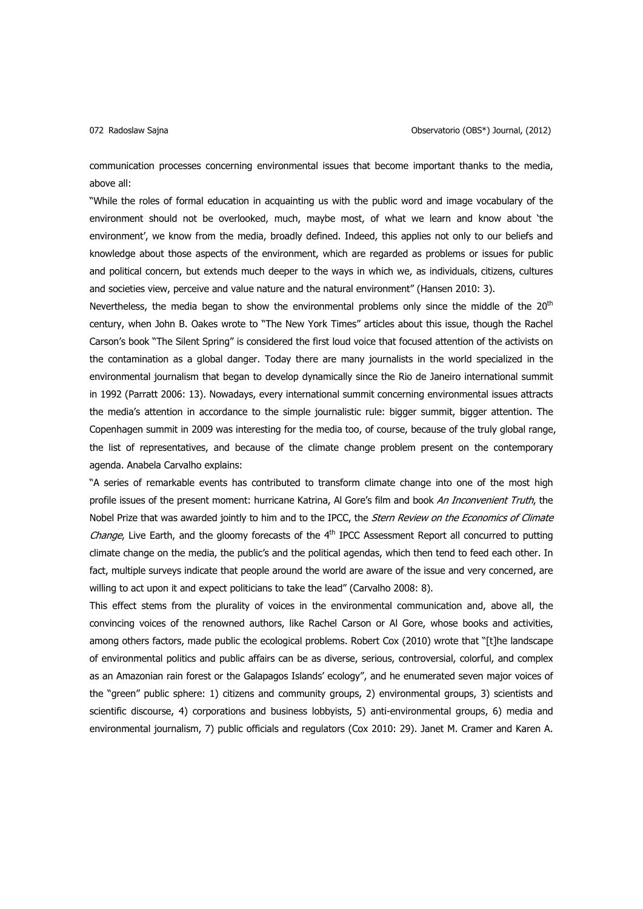communication processes concerning environmental issues that become important thanks to the media, above all:

"While the roles of formal education in acquainting us with the public word and image vocabulary of the environment should not be overlooked, much, maybe most, of what we learn and know about 'the environment', we know from the media, broadly defined. Indeed, this applies not only to our beliefs and knowledge about those aspects of the environment, which are regarded as problems or issues for public and political concern, but extends much deeper to the ways in which we, as individuals, citizens, cultures and societies view, perceive and value nature and the natural environment" (Hansen 2010: 3).

Nevertheless, the media began to show the environmental problems only since the middle of the  $20<sup>th</sup>$ century, when John B. Oakes wrote to "The New York Times" articles about this issue, though the Rachel Carson's book "The Silent Spring" is considered the first loud voice that focused attention of the activists on the contamination as a global danger. Today there are many journalists in the world specialized in the environmental journalism that began to develop dynamically since the Rio de Janeiro international summit in 1992 (Parratt 2006: 13). Nowadays, every international summit concerning environmental issues attracts the media's attention in accordance to the simple journalistic rule: bigger summit, bigger attention. The Copenhagen summit in 2009 was interesting for the media too, of course, because of the truly global range, the list of representatives, and because of the climate change problem present on the contemporary agenda. Anabela Carvalho explains:

"A series of remarkable events has contributed to transform climate change into one of the most high profile issues of the present moment: hurricane Katrina, AI Gore's film and book An Inconvenient Truth, the Nobel Prize that was awarded jointly to him and to the IPCC, the Stern Review on the Economics of Climate Change, Live Earth, and the gloomy forecasts of the 4<sup>th</sup> IPCC Assessment Report all concurred to putting climate change on the media, the public's and the political agendas, which then tend to feed each other. In fact, multiple surveys indicate that people around the world are aware of the issue and very concerned, are willing to act upon it and expect politicians to take the lead" (Carvalho 2008: 8).

This effect stems from the plurality of voices in the environmental communication and, above all, the convincing voices of the renowned authors, like Rachel Carson or Al Gore, whose books and activities, among others factors, made public the ecological problems. Robert Cox (2010) wrote that "[t]he landscape of environmental politics and public affairs can be as diverse, serious, controversial, colorful, and complex as an Amazonian rain forest or the Galapagos Islands' ecology", and he enumerated seven major voices of the "green" public sphere: 1) citizens and community groups, 2) environmental groups, 3) scientists and scientific discourse, 4) corporations and business lobbyists, 5) anti-environmental groups, 6) media and environmental journalism, 7) public officials and regulators (Cox 2010: 29). Janet M. Cramer and Karen A.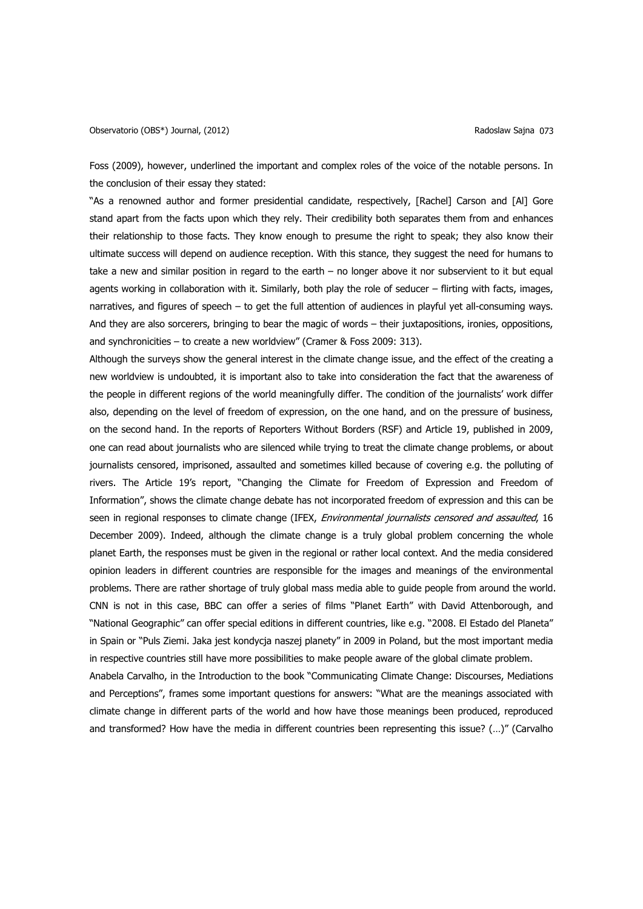Foss (2009), however, underlined the important and complex roles of the voice of the notable persons. In the conclusion of their essay they stated:

"As a renowned author and former presidential candidate, respectively, [Rachel] Carson and [Al] Gore stand apart from the facts upon which they rely. Their credibility both separates them from and enhances their relationship to those facts. They know enough to presume the right to speak; they also know their ultimate success will depend on audience reception. With this stance, they suggest the need for humans to take a new and similar position in regard to the earth – no longer above it nor subservient to it but equal agents working in collaboration with it. Similarly, both play the role of seducer – flirting with facts, images, narratives, and figures of speech – to get the full attention of audiences in playful yet all-consuming ways. And they are also sorcerers, bringing to bear the magic of words – their juxtapositions, ironies, oppositions, and synchronicities – to create a new worldview" (Cramer & Foss 2009: 313).

Although the surveys show the general interest in the climate change issue, and the effect of the creating a new worldview is undoubted, it is important also to take into consideration the fact that the awareness of the people in different regions of the world meaningfully differ. The condition of the journalists' work differ also, depending on the level of freedom of expression, on the one hand, and on the pressure of business, on the second hand. In the reports of Reporters Without Borders (RSF) and Article 19, published in 2009, one can read about journalists who are silenced while trying to treat the climate change problems, or about journalists censored, imprisoned, assaulted and sometimes killed because of covering e.g. the polluting of rivers. The Article 19's report, "Changing the Climate for Freedom of Expression and Freedom of Information", shows the climate change debate has not incorporated freedom of expression and this can be seen in regional responses to climate change (IFEX, *Environmental journalists censored and assaulted*, 16 December 2009). Indeed, although the climate change is a truly global problem concerning the whole planet Earth, the responses must be given in the regional or rather local context. And the media considered opinion leaders in different countries are responsible for the images and meanings of the environmental problems. There are rather shortage of truly global mass media able to guide people from around the world. CNN is not in this case, BBC can offer a series of films "Planet Earth" with David Attenborough, and "National Geographic" can offer special editions in different countries, like e.g. "2008. El Estado del Planeta" in Spain or "Puls Ziemi. Jaka jest kondycja naszej planety" in 2009 in Poland, but the most important media in respective countries still have more possibilities to make people aware of the global climate problem.

Anabela Carvalho, in the Introduction to the book "Communicating Climate Change: Discourses, Mediations and Perceptions", frames some important questions for answers: "What are the meanings associated with climate change in different parts of the world and how have those meanings been produced, reproduced and transformed? How have the media in different countries been representing this issue? (…)" (Carvalho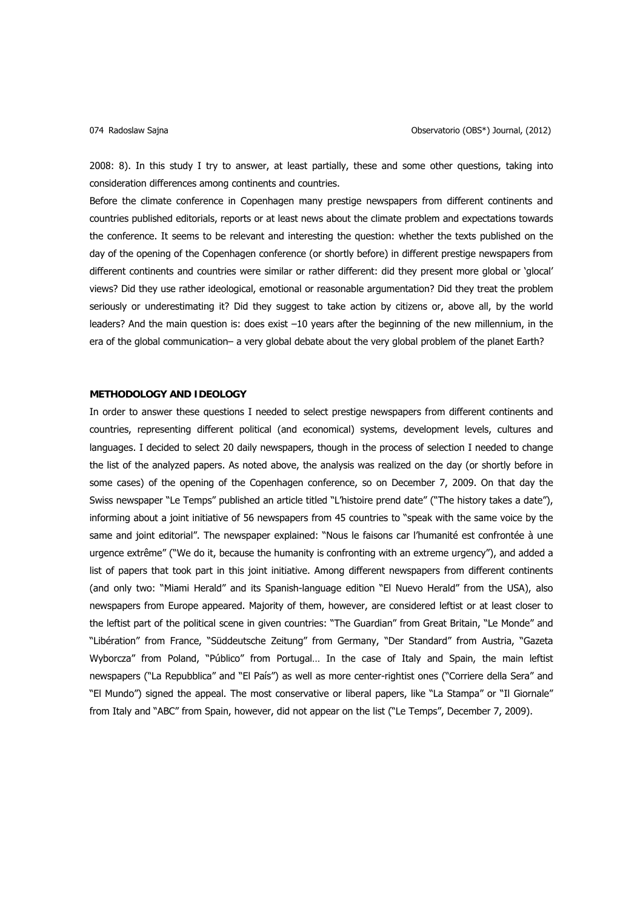2008: 8). In this study I try to answer, at least partially, these and some other questions, taking into consideration differences among continents and countries.

Before the climate conference in Copenhagen many prestige newspapers from different continents and countries published editorials, reports or at least news about the climate problem and expectations towards the conference. It seems to be relevant and interesting the question: whether the texts published on the day of the opening of the Copenhagen conference (or shortly before) in different prestige newspapers from different continents and countries were similar or rather different: did they present more global or 'glocal' views? Did they use rather ideological, emotional or reasonable argumentation? Did they treat the problem seriously or underestimating it? Did they suggest to take action by citizens or, above all, by the world leaders? And the main question is: does exist –10 years after the beginning of the new millennium, in the era of the global communication– a very global debate about the very global problem of the planet Earth?

### **METHODOLOGY AND IDEOLOGY**

In order to answer these questions I needed to select prestige newspapers from different continents and countries, representing different political (and economical) systems, development levels, cultures and languages. I decided to select 20 daily newspapers, though in the process of selection I needed to change the list of the analyzed papers. As noted above, the analysis was realized on the day (or shortly before in some cases) of the opening of the Copenhagen conference, so on December 7, 2009. On that day the Swiss newspaper "Le Temps" published an article titled "L'histoire prend date" ("The history takes a date"), informing about a joint initiative of 56 newspapers from 45 countries to "speak with the same voice by the same and joint editorial". The newspaper explained: "Nous le faisons car l'humanité est confrontée à une urgence extrême" ("We do it, because the humanity is confronting with an extreme urgency"), and added a list of papers that took part in this joint initiative. Among different newspapers from different continents (and only two: "Miami Herald" and its Spanish-language edition "El Nuevo Herald" from the USA), also newspapers from Europe appeared. Majority of them, however, are considered leftist or at least closer to the leftist part of the political scene in given countries: "The Guardian" from Great Britain, "Le Monde" and "Libération" from France, "Süddeutsche Zeitung" from Germany, "Der Standard" from Austria, "Gazeta Wyborcza" from Poland, "Público" from Portugal… In the case of Italy and Spain, the main leftist newspapers ("La Repubblica" and "El País") as well as more center-rightist ones ("Corriere della Sera" and "El Mundo") signed the appeal. The most conservative or liberal papers, like "La Stampa" or "Il Giornale" from Italy and "ABC" from Spain, however, did not appear on the list ("Le Temps", December 7, 2009).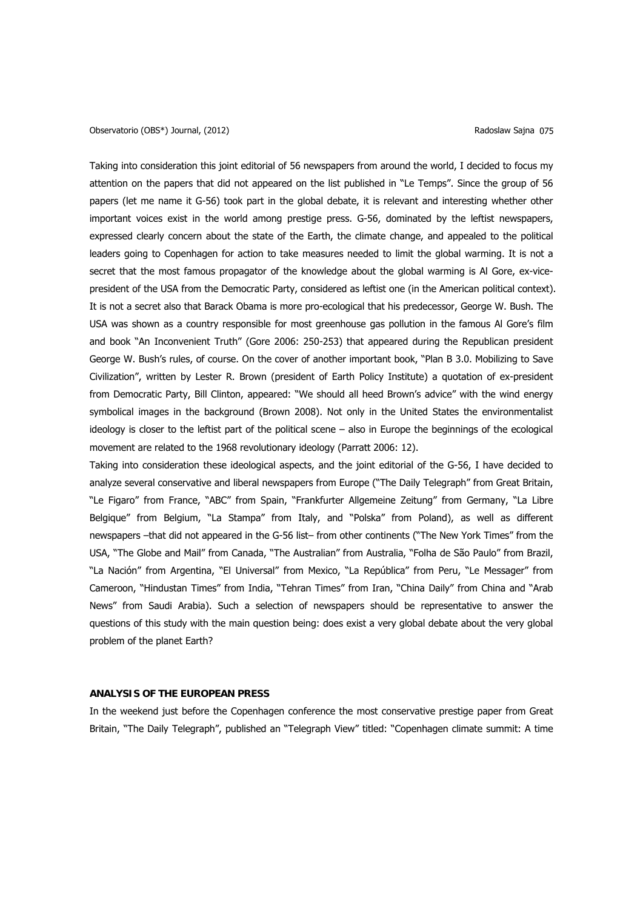Taking into consideration this joint editorial of 56 newspapers from around the world, I decided to focus my attention on the papers that did not appeared on the list published in "Le Temps". Since the group of 56 papers (let me name it G-56) took part in the global debate, it is relevant and interesting whether other important voices exist in the world among prestige press. G-56, dominated by the leftist newspapers, expressed clearly concern about the state of the Earth, the climate change, and appealed to the political leaders going to Copenhagen for action to take measures needed to limit the global warming. It is not a secret that the most famous propagator of the knowledge about the global warming is Al Gore, ex-vicepresident of the USA from the Democratic Party, considered as leftist one (in the American political context). It is not a secret also that Barack Obama is more pro-ecological that his predecessor, George W. Bush. The USA was shown as a country responsible for most greenhouse gas pollution in the famous Al Gore's film and book "An Inconvenient Truth" (Gore 2006: 250-253) that appeared during the Republican president George W. Bush's rules, of course. On the cover of another important book, "Plan B 3.0. Mobilizing to Save Civilization", written by Lester R. Brown (president of Earth Policy Institute) a quotation of ex-president from Democratic Party, Bill Clinton, appeared: "We should all heed Brown's advice" with the wind energy symbolical images in the background (Brown 2008). Not only in the United States the environmentalist ideology is closer to the leftist part of the political scene – also in Europe the beginnings of the ecological movement are related to the 1968 revolutionary ideology (Parratt 2006: 12).

Taking into consideration these ideological aspects, and the joint editorial of the G-56, I have decided to analyze several conservative and liberal newspapers from Europe ("The Daily Telegraph" from Great Britain, "Le Figaro" from France, "ABC" from Spain, "Frankfurter Allgemeine Zeitung" from Germany, "La Libre Belgique" from Belgium, "La Stampa" from Italy, and "Polska" from Poland), as well as different newspapers –that did not appeared in the G-56 list– from other continents ("The New York Times" from the USA, "The Globe and Mail" from Canada, "The Australian" from Australia, "Folha de São Paulo" from Brazil, "La Nación" from Argentina, "El Universal" from Mexico, "La República" from Peru, "Le Messager" from Cameroon, "Hindustan Times" from India, "Tehran Times" from Iran, "China Daily" from China and "Arab News" from Saudi Arabia). Such a selection of newspapers should be representative to answer the questions of this study with the main question being: does exist a very global debate about the very global problem of the planet Earth?

## **ANALYSIS OF THE EUROPEAN PRESS**

In the weekend just before the Copenhagen conference the most conservative prestige paper from Great Britain, "The Daily Telegraph", published an "Telegraph View" titled: "Copenhagen climate summit: A time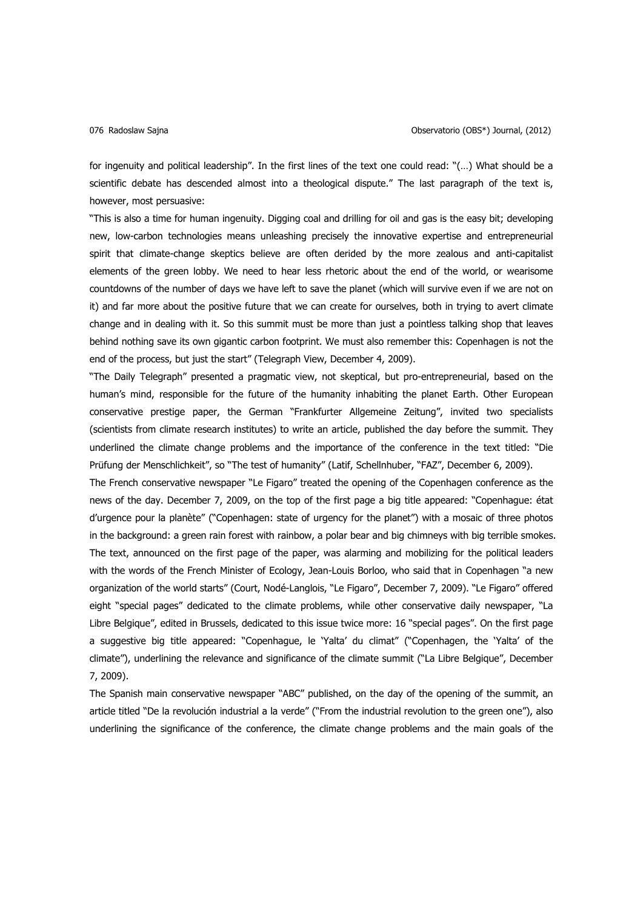for ingenuity and political leadership". In the first lines of the text one could read: "(…) What should be a scientific debate has descended almost into a theological dispute." The last paragraph of the text is, however, most persuasive:

"This is also a time for human ingenuity. Digging coal and drilling for oil and gas is the easy bit; developing new, low-carbon technologies means unleashing precisely the innovative expertise and entrepreneurial spirit that climate-change skeptics believe are often derided by the more zealous and anti-capitalist elements of the green lobby. We need to hear less rhetoric about the end of the world, or wearisome countdowns of the number of days we have left to save the planet (which will survive even if we are not on it) and far more about the positive future that we can create for ourselves, both in trying to avert climate change and in dealing with it. So this summit must be more than just a pointless talking shop that leaves behind nothing save its own gigantic carbon footprint. We must also remember this: Copenhagen is not the end of the process, but just the start" (Telegraph View, December 4, 2009).

"The Daily Telegraph" presented a pragmatic view, not skeptical, but pro-entrepreneurial, based on the human's mind, responsible for the future of the humanity inhabiting the planet Earth. Other European conservative prestige paper, the German "Frankfurter Allgemeine Zeitung", invited two specialists (scientists from climate research institutes) to write an article, published the day before the summit. They underlined the climate change problems and the importance of the conference in the text titled: "Die Prüfung der Menschlichkeit", so "The test of humanity" (Latif, Schellnhuber, "FAZ", December 6, 2009).

The French conservative newspaper "Le Figaro" treated the opening of the Copenhagen conference as the news of the day. December 7, 2009, on the top of the first page a big title appeared: "Copenhague: état d'urgence pour la planète" ("Copenhagen: state of urgency for the planet") with a mosaic of three photos in the background: a green rain forest with rainbow, a polar bear and big chimneys with big terrible smokes. The text, announced on the first page of the paper, was alarming and mobilizing for the political leaders with the words of the French Minister of Ecology, Jean-Louis Borloo, who said that in Copenhagen "a new organization of the world starts" (Court, Nodé-Langlois, "Le Figaro", December 7, 2009). "Le Figaro" offered eight "special pages" dedicated to the climate problems, while other conservative daily newspaper, "La Libre Belgique", edited in Brussels, dedicated to this issue twice more: 16 "special pages". On the first page a suggestive big title appeared: "Copenhague, le 'Yalta' du climat" ("Copenhagen, the 'Yalta' of the climate"), underlining the relevance and significance of the climate summit ("La Libre Belgique", December 7, 2009).

The Spanish main conservative newspaper "ABC" published, on the day of the opening of the summit, an article titled "De la revolución industrial a la verde" ("From the industrial revolution to the green one"), also underlining the significance of the conference, the climate change problems and the main goals of the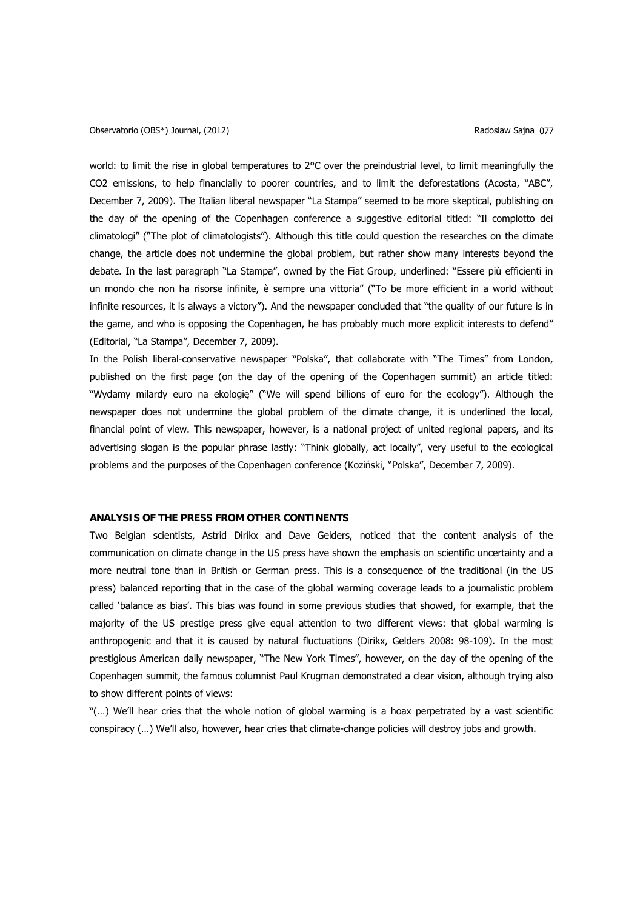Observatorio (OBS\*) Journal, (2012) Radoslaw Sajna 077

world: to limit the rise in global temperatures to 2°C over the preindustrial level, to limit meaningfully the CO2 emissions, to help financially to poorer countries, and to limit the deforestations (Acosta, "ABC", December 7, 2009). The Italian liberal newspaper "La Stampa" seemed to be more skeptical, publishing on the day of the opening of the Copenhagen conference a suggestive editorial titled: "Il complotto dei climatologi" ("The plot of climatologists"). Although this title could question the researches on the climate change, the article does not undermine the global problem, but rather show many interests beyond the debate. In the last paragraph "La Stampa", owned by the Fiat Group, underlined: "Essere più efficienti in un mondo che non ha risorse infinite, è sempre una vittoria" ("To be more efficient in a world without infinite resources, it is always a victory"). And the newspaper concluded that "the quality of our future is in the game, and who is opposing the Copenhagen, he has probably much more explicit interests to defend" (Editorial, "La Stampa", December 7, 2009).

In the Polish liberal-conservative newspaper "Polska", that collaborate with "The Times" from London, published on the first page (on the day of the opening of the Copenhagen summit) an article titled: "Wydamy milardy euro na ekologię" ("We will spend billions of euro for the ecology"). Although the newspaper does not undermine the global problem of the climate change, it is underlined the local, financial point of view. This newspaper, however, is a national project of united regional papers, and its advertising slogan is the popular phrase lastly: "Think globally, act locally", very useful to the ecological problems and the purposes of the Copenhagen conference (Koziński, "Polska", December 7, 2009).

## **ANALYSIS OF THE PRESS FROM OTHER CONTINENTS**

Two Belgian scientists, Astrid Dirikx and Dave Gelders, noticed that the content analysis of the communication on climate change in the US press have shown the emphasis on scientific uncertainty and a more neutral tone than in British or German press. This is a consequence of the traditional (in the US press) balanced reporting that in the case of the global warming coverage leads to a journalistic problem called 'balance as bias'. This bias was found in some previous studies that showed, for example, that the majority of the US prestige press give equal attention to two different views: that global warming is anthropogenic and that it is caused by natural fluctuations (Dirikx, Gelders 2008: 98-109). In the most prestigious American daily newspaper, "The New York Times", however, on the day of the opening of the Copenhagen summit, the famous columnist Paul Krugman demonstrated a clear vision, although trying also to show different points of views:

"(…) We'll hear cries that the whole notion of global warming is a hoax perpetrated by a vast scientific conspiracy (…) We'll also, however, hear cries that climate-change policies will destroy jobs and growth.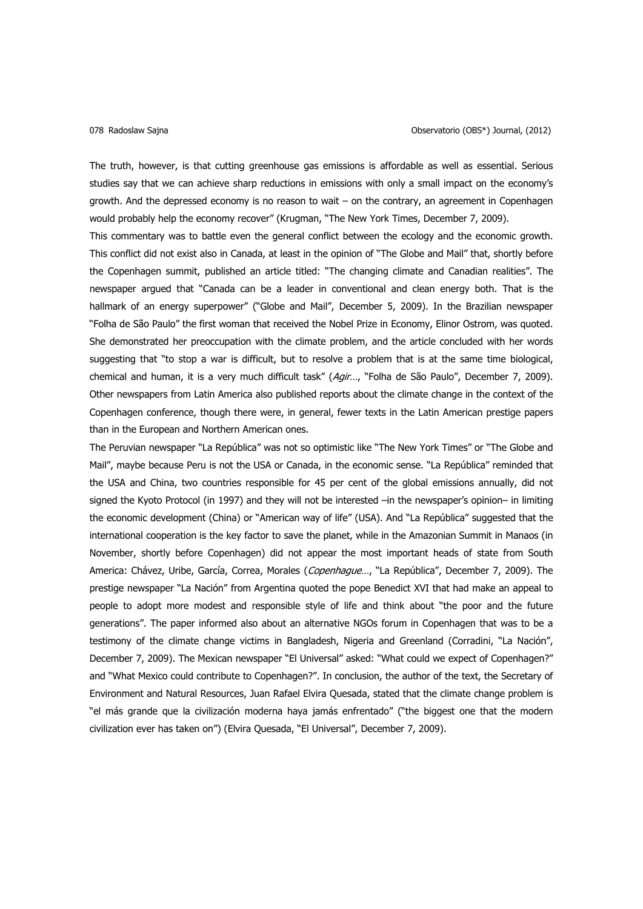The truth, however, is that cutting greenhouse gas emissions is affordable as well as essential. Serious studies say that we can achieve sharp reductions in emissions with only a small impact on the economy's growth. And the depressed economy is no reason to wait – on the contrary, an agreement in Copenhagen would probably help the economy recover" (Krugman, "The New York Times, December 7, 2009).

This commentary was to battle even the general conflict between the ecology and the economic growth. This conflict did not exist also in Canada, at least in the opinion of "The Globe and Mail" that, shortly before the Copenhagen summit, published an article titled: "The changing climate and Canadian realities". The newspaper argued that "Canada can be a leader in conventional and clean energy both. That is the hallmark of an energy superpower" ("Globe and Mail", December 5, 2009). In the Brazilian newspaper "Folha de São Paulo" the first woman that received the Nobel Prize in Economy, Elinor Ostrom, was quoted. She demonstrated her preoccupation with the climate problem, and the article concluded with her words suggesting that "to stop a war is difficult, but to resolve a problem that is at the same time biological, chemical and human, it is a very much difficult task" (Agir..., "Folha de São Paulo", December 7, 2009). Other newspapers from Latin America also published reports about the climate change in the context of the Copenhagen conference, though there were, in general, fewer texts in the Latin American prestige papers than in the European and Northern American ones.

The Peruvian newspaper "La República" was not so optimistic like "The New York Times" or "The Globe and Mail", maybe because Peru is not the USA or Canada, in the economic sense. "La República" reminded that the USA and China, two countries responsible for 45 per cent of the global emissions annually, did not signed the Kyoto Protocol (in 1997) and they will not be interested –in the newspaper's opinion– in limiting the economic development (China) or "American way of life" (USA). And "La República" suggested that the international cooperation is the key factor to save the planet, while in the Amazonian Summit in Manaos (in November, shortly before Copenhagen) did not appear the most important heads of state from South America: Chávez, Uribe, García, Correa, Morales (Copenhague..., "La República", December 7, 2009). The prestige newspaper "La Nación" from Argentina quoted the pope Benedict XVI that had make an appeal to people to adopt more modest and responsible style of life and think about "the poor and the future generations". The paper informed also about an alternative NGOs forum in Copenhagen that was to be a testimony of the climate change victims in Bangladesh, Nigeria and Greenland (Corradini, "La Nación", December 7, 2009). The Mexican newspaper "El Universal" asked: "What could we expect of Copenhagen?" and "What Mexico could contribute to Copenhagen?". In conclusion, the author of the text, the Secretary of Environment and Natural Resources, Juan Rafael Elvira Quesada, stated that the climate change problem is "el más grande que la civilización moderna haya jamás enfrentado" ("the biggest one that the modern civilization ever has taken on") (Elvira Quesada, "El Universal", December 7, 2009).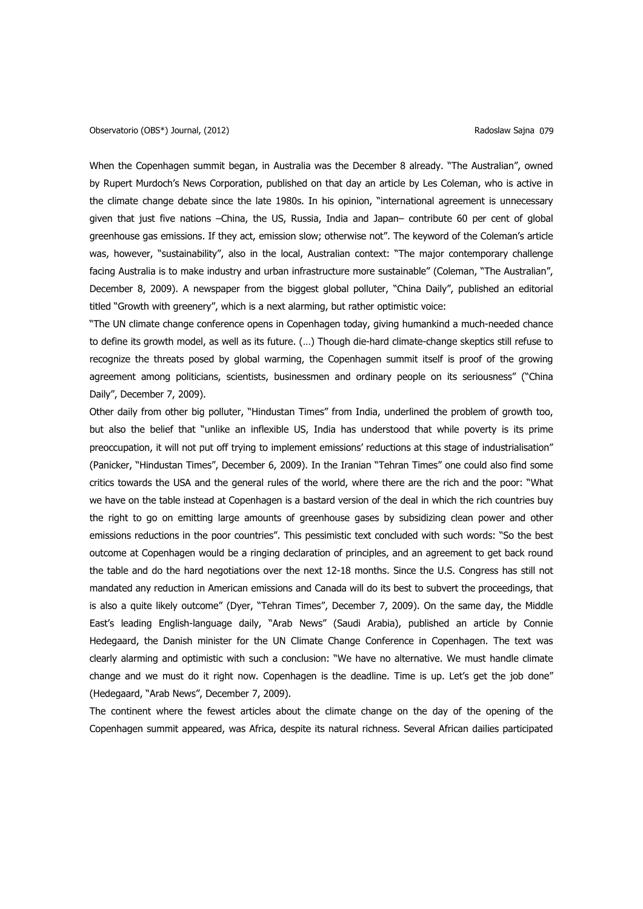When the Copenhagen summit began, in Australia was the December 8 already. "The Australian", owned by Rupert Murdoch's News Corporation, published on that day an article by Les Coleman, who is active in the climate change debate since the late 1980s. In his opinion, "international agreement is unnecessary given that just five nations –China, the US, Russia, India and Japan– contribute 60 per cent of global greenhouse gas emissions. If they act, emission slow; otherwise not". The keyword of the Coleman's article was, however, "sustainability", also in the local, Australian context: "The major contemporary challenge facing Australia is to make industry and urban infrastructure more sustainable" (Coleman, "The Australian", December 8, 2009). A newspaper from the biggest global polluter, "China Daily", published an editorial titled "Growth with greenery", which is a next alarming, but rather optimistic voice:

"The UN climate change conference opens in Copenhagen today, giving humankind a much-needed chance to define its growth model, as well as its future. (…) Though die-hard climate-change skeptics still refuse to recognize the threats posed by global warming, the Copenhagen summit itself is proof of the growing agreement among politicians, scientists, businessmen and ordinary people on its seriousness" ("China Daily", December 7, 2009).

Other daily from other big polluter, "Hindustan Times" from India, underlined the problem of growth too, but also the belief that "unlike an inflexible US, India has understood that while poverty is its prime preoccupation, it will not put off trying to implement emissions' reductions at this stage of industrialisation" (Panicker, "Hindustan Times", December 6, 2009). In the Iranian "Tehran Times" one could also find some critics towards the USA and the general rules of the world, where there are the rich and the poor: "What we have on the table instead at Copenhagen is a bastard version of the deal in which the rich countries buy the right to go on emitting large amounts of greenhouse gases by subsidizing clean power and other emissions reductions in the poor countries". This pessimistic text concluded with such words: "So the best outcome at Copenhagen would be a ringing declaration of principles, and an agreement to get back round the table and do the hard negotiations over the next 12-18 months. Since the U.S. Congress has still not mandated any reduction in American emissions and Canada will do its best to subvert the proceedings, that is also a quite likely outcome" (Dyer, "Tehran Times", December 7, 2009). On the same day, the Middle East's leading English-language daily, "Arab News" (Saudi Arabia), published an article by Connie Hedegaard, the Danish minister for the UN Climate Change Conference in Copenhagen. The text was clearly alarming and optimistic with such a conclusion: "We have no alternative. We must handle climate change and we must do it right now. Copenhagen is the deadline. Time is up. Let's get the job done" (Hedegaard, "Arab News", December 7, 2009).

The continent where the fewest articles about the climate change on the day of the opening of the Copenhagen summit appeared, was Africa, despite its natural richness. Several African dailies participated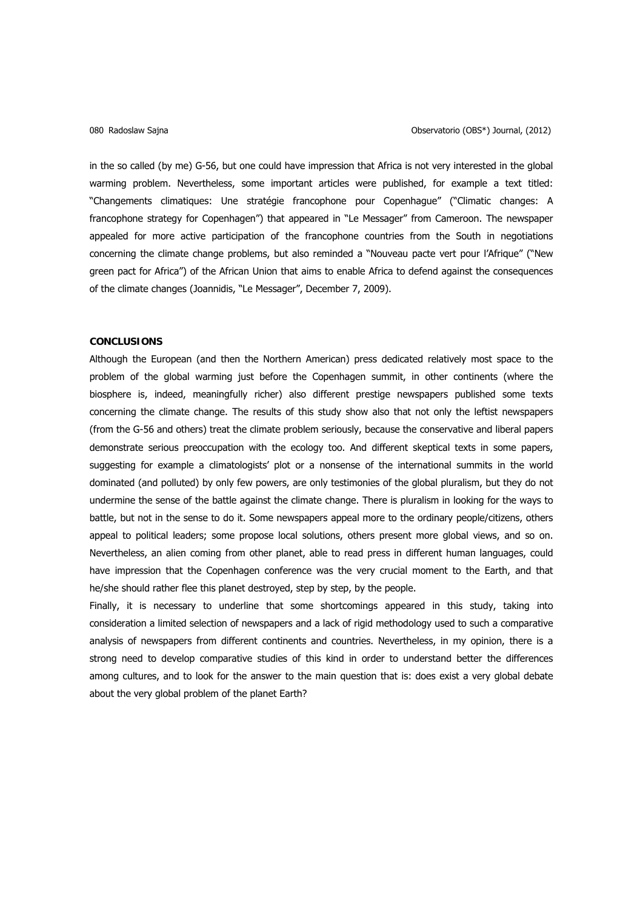in the so called (by me) G-56, but one could have impression that Africa is not very interested in the global warming problem. Nevertheless, some important articles were published, for example a text titled: "Changements climatiques: Une stratégie francophone pour Copenhague" ("Climatic changes: A francophone strategy for Copenhagen") that appeared in "Le Messager" from Cameroon. The newspaper appealed for more active participation of the francophone countries from the South in negotiations concerning the climate change problems, but also reminded a "Nouveau pacte vert pour l'Afrique" ("New green pact for Africa") of the African Union that aims to enable Africa to defend against the consequences of the climate changes (Joannidis, "Le Messager", December 7, 2009).

### **CONCLUSIONS**

Although the European (and then the Northern American) press dedicated relatively most space to the problem of the global warming just before the Copenhagen summit, in other continents (where the biosphere is, indeed, meaningfully richer) also different prestige newspapers published some texts concerning the climate change. The results of this study show also that not only the leftist newspapers (from the G-56 and others) treat the climate problem seriously, because the conservative and liberal papers demonstrate serious preoccupation with the ecology too. And different skeptical texts in some papers, suggesting for example a climatologists' plot or a nonsense of the international summits in the world dominated (and polluted) by only few powers, are only testimonies of the global pluralism, but they do not undermine the sense of the battle against the climate change. There is pluralism in looking for the ways to battle, but not in the sense to do it. Some newspapers appeal more to the ordinary people/citizens, others appeal to political leaders; some propose local solutions, others present more global views, and so on. Nevertheless, an alien coming from other planet, able to read press in different human languages, could have impression that the Copenhagen conference was the very crucial moment to the Earth, and that he/she should rather flee this planet destroyed, step by step, by the people.

Finally, it is necessary to underline that some shortcomings appeared in this study, taking into consideration a limited selection of newspapers and a lack of rigid methodology used to such a comparative analysis of newspapers from different continents and countries. Nevertheless, in my opinion, there is a strong need to develop comparative studies of this kind in order to understand better the differences among cultures, and to look for the answer to the main question that is: does exist a very global debate about the very global problem of the planet Earth?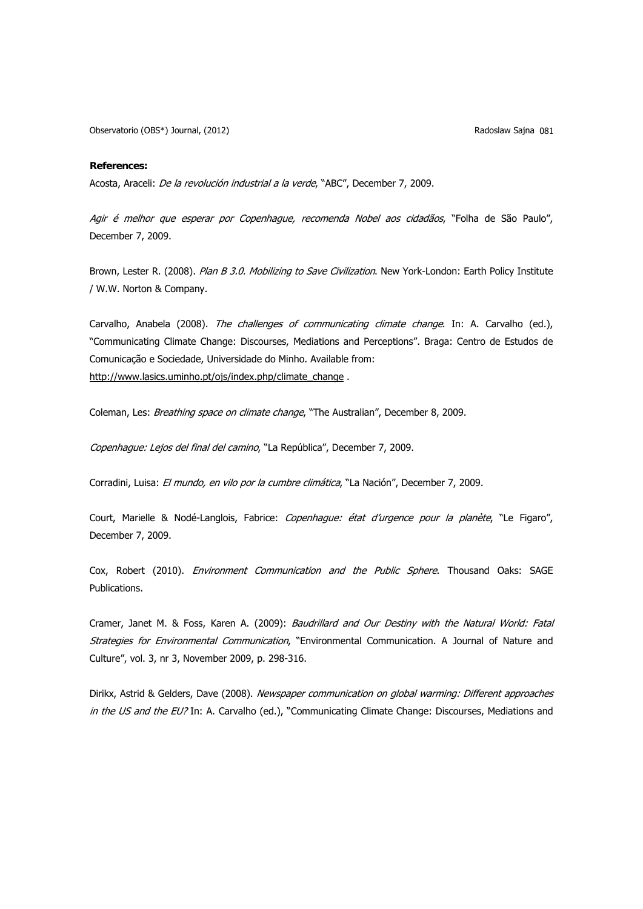Observatorio (OBS\*) Journal, (2012) **Radoslaw Sajna 081** Radoslaw Sajna 081

### **References:**

Acosta, Araceli: De la revolución industrial a la verde, "ABC", December 7, 2009.

Agir é melhor que esperar por Copenhague, recomenda Nobel aos cidadãos, "Folha de São Paulo", December 7, 2009.

Brown, Lester R. (2008). Plan B 3.0. Mobilizing to Save Civilization. New York-London: Earth Policy Institute / W.W. Norton & Company.

Carvalho, Anabela (2008). The challenges of communicating climate change. In: A. Carvalho (ed.), "Communicating Climate Change: Discourses, Mediations and Perceptions". Braga: Centro de Estudos de Comunicação e Sociedade, Universidade do Minho. Available from: [http://www.lasics.uminho.pt/ojs/index.php/climate\\_change](http://www.lasics.uminho.pt/ojs/index.php/climate_change) .

Coleman, Les: Breathing space on climate change, "The Australian", December 8, 2009.

Copenhague: Lejos del final del camino, "La República", December 7, 2009.

Corradini, Luisa: El mundo, en vilo por la cumbre climática, "La Nación", December 7, 2009.

Court, Marielle & Nodé-Langlois, Fabrice: Copenhague: état d'urgence pour la planète, "Le Figaro", December 7, 2009.

Cox, Robert (2010). Environment Communication and the Public Sphere. Thousand Oaks: SAGE Publications.

Cramer, Janet M. & Foss, Karen A. (2009): Baudrillard and Our Destiny with the Natural World: Fatal Strategies for Environmental Communication, "Environmental Communication. A Journal of Nature and Culture", vol. 3, nr 3, November 2009, p. 298-316.

Dirikx, Astrid & Gelders, Dave (2008). Newspaper communication on global warming: Different approaches in the US and the EU? In: A. Carvalho (ed.), "Communicating Climate Change: Discourses, Mediations and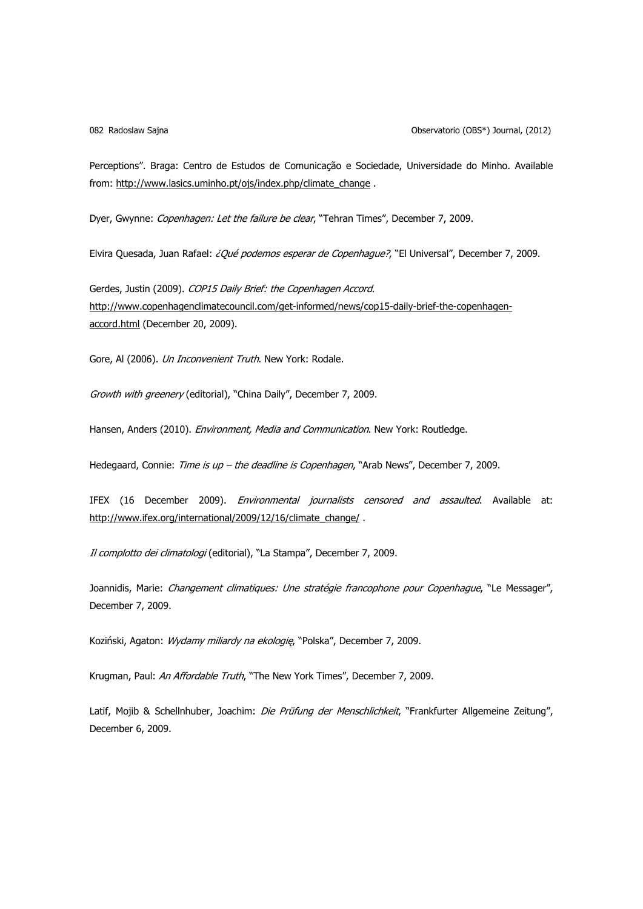Perceptions". Braga: Centro de Estudos de Comunicação e Sociedade, Universidade do Minho. Available from: [http://www.lasics.uminho.pt/ojs/index.php/climate\\_change](http://www.lasics.uminho.pt/ojs/index.php/climate_change) .

Dyer, Gwynne: Copenhagen: Let the failure be clear, "Tehran Times", December 7, 2009.

Elvira Quesada, Juan Rafael: ¿Qué podemos esperar de Copenhague?, "El Universal", December 7, 2009.

Gerdes, Justin (2009). COP15 Daily Brief: the Copenhagen Accord. [http://www.copenhagenclimatecouncil.com/get-informed/news/cop15-daily-brief-the-copenhagen](http://www.copenhagenclimatecouncil.com/get-informed/news/cop15-daily-brief-the-copenhagen-accord.html)[accord.html](http://www.copenhagenclimatecouncil.com/get-informed/news/cop15-daily-brief-the-copenhagen-accord.html) (December 20, 2009).

Gore, Al (2006). Un Inconvenient Truth. New York: Rodale.

Growth with greenery (editorial), "China Daily", December 7, 2009.

Hansen, Anders (2010). Environment, Media and Communication. New York: Routledge.

Hedegaard, Connie: Time is up - the deadline is Copenhagen, "Arab News", December 7, 2009.

IFEX (16 December 2009). Environmental journalists censored and assaulted. Available at: [http://www.ifex.org/international/2009/12/16/climate\\_change/](http://www.ifex.org/international/2009/12/16/climate_change/) .

Il complotto dei climatologi (editorial), "La Stampa", December 7, 2009.

Joannidis, Marie: Changement climatiques: Une stratégie francophone pour Copenhague, "Le Messager", December 7, 2009.

Koziński, Agaton: Wydamy miliardy na ekologię, "Polska", December 7, 2009.

Krugman, Paul: An Affordable Truth, "The New York Times", December 7, 2009.

Latif, Mojib & Schellnhuber, Joachim: Die Prüfung der Menschlichkeit, "Frankfurter Allgemeine Zeitung", December 6, 2009.